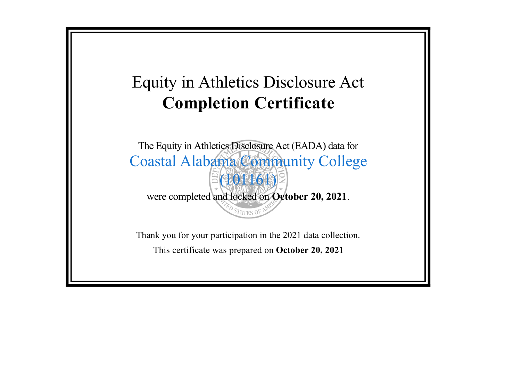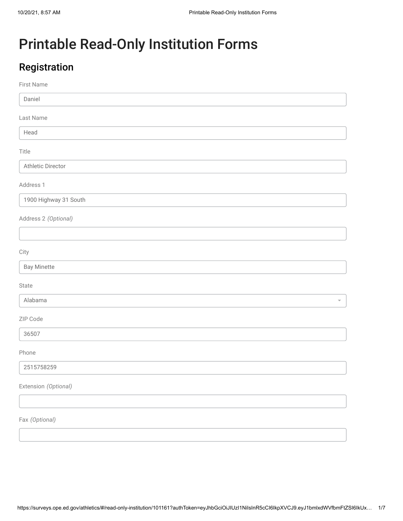L

# Printable Read-Only Institution Forms

## Registration

#### First Name

Daniel

Last Name

Head

Title

Athletic Director

Address 1

1900 Highway 31 South

Address 2 *(Optional)*

**City** 

| <b>Bay Minet</b><br>$\overline{\phantom{0}}$ |  |  |
|----------------------------------------------|--|--|
|                                              |  |  |

State

Alabama

ZIP Code

36507

Phone

2515758259

Extension *(Optional)*

Fax *(Optional)*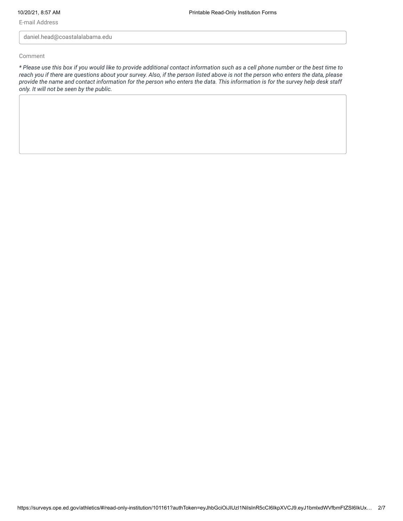E-mail Address

daniel.head@coastalalabama.edu

Comment

*\* Please use this box if you would like to provide additional contact information such as a cell phone number or the best time to reach you if there are questions about your survey. Also, if the person listed above is not the person who enters the data, please provide the name and contact information for the person who enters the data. This information is for the survey help desk staff only. It will not be seen by the public.*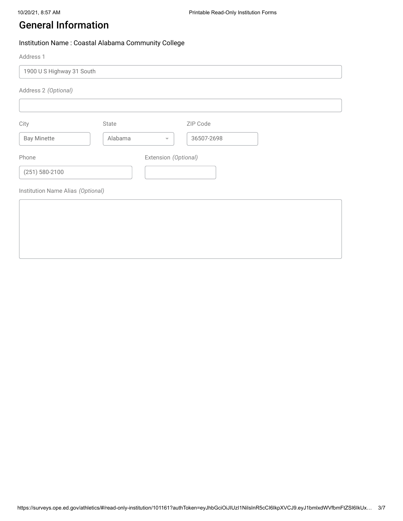### General Information

#### Institution Name : Coastal Alabama Community College

Address 1

| 1900 US Highway 31 South          |         |                                        |  |
|-----------------------------------|---------|----------------------------------------|--|
| Address 2 (Optional)              |         |                                        |  |
|                                   |         |                                        |  |
| City                              | State   | ZIP Code                               |  |
| <b>Bay Minette</b>                | Alabama | 36507-2698<br>$\overline{\phantom{m}}$ |  |
| Phone                             |         | Extension (Optional)                   |  |
| $(251) 580 - 2100$                |         |                                        |  |
| Institution Name Alias (Optional) |         |                                        |  |
|                                   |         |                                        |  |
|                                   |         |                                        |  |
|                                   |         |                                        |  |
|                                   |         |                                        |  |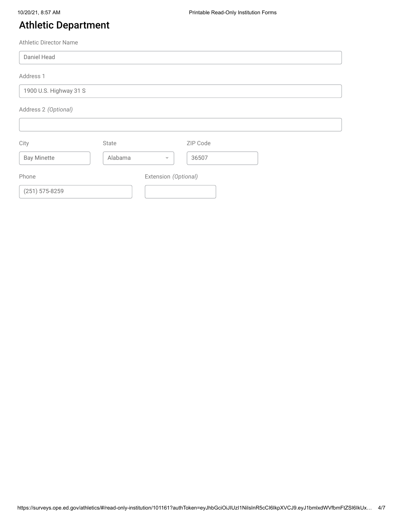### Athletic Department

Athletic Director Name

| Daniel Head            |         |                         |          |  |
|------------------------|---------|-------------------------|----------|--|
| Address 1              |         |                         |          |  |
| 1900 U.S. Highway 31 S |         |                         |          |  |
| Address 2 (Optional)   |         |                         |          |  |
|                        |         |                         |          |  |
| City                   | State   |                         | ZIP Code |  |
| <b>Bay Minette</b>     | Alabama | $\overline{\mathbf{v}}$ | 36507    |  |
| Phone                  |         | Extension (Optional)    |          |  |
| $(251) 575 - 8259$     |         |                         |          |  |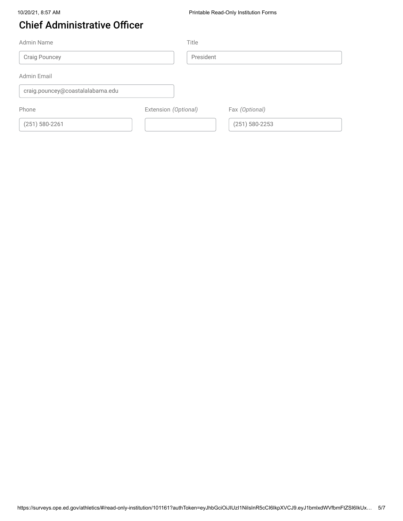## Chief Administrative Officer

| Admin Name                       | Title                |                    |
|----------------------------------|----------------------|--------------------|
| <b>Craig Pouncey</b>             |                      | President          |
| <b>Admin Email</b>               |                      |                    |
| craig.pouncey@coastalalabama.edu |                      |                    |
| Phone                            | Extension (Optional) | Fax (Optional)     |
| $(251) 580 - 2261$               |                      | $(251) 580 - 2253$ |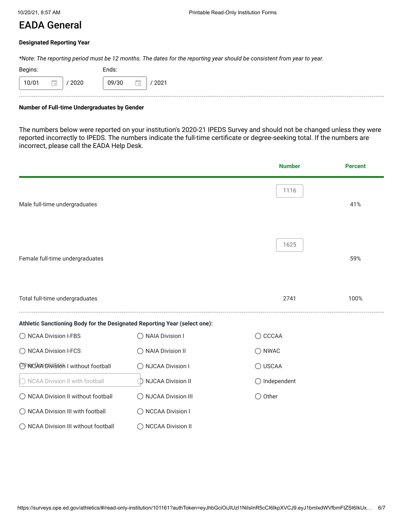### EADA General

#### **Designated Reporting Year**

*\*Note: The reporting period must be 12 months. The dates for the reporting year should be consistent from year to year.*

| Begins: |           | Ends: |     |      |
|---------|-----------|-------|-----|------|
| 10/01   | ٠<br>2020 | 09/30 | . . | 2021 |
|         |           |       |     |      |

#### **Number of Full-time Undergraduates by Gender**

The numbers below were reported on your institution's 2020-21 IPEDS Survey and should not be changed unless they were reported incorrectly to IPEDS. The numbers indicate the full-time certificate or degree-seeking total. If the numbers are incorrect, please call the EADA Help Desk.

|                                                                           |                                                                         | <b>Number</b>          | <b>Percent</b> |
|---------------------------------------------------------------------------|-------------------------------------------------------------------------|------------------------|----------------|
| Male full-time undergraduates                                             |                                                                         | 1116                   | 41%            |
| Female full-time undergraduates                                           |                                                                         | 1625                   | 59%            |
| Total full-time undergraduates                                            |                                                                         | 2741                   | 100%           |
| Athletic Sanctioning Body for the Designated Reporting Year (select one): |                                                                         |                        |                |
| ◯ NCAA Division I-FBS                                                     | ◯ NAIA Division I                                                       | ◯ CCCAA                |                |
| ◯ NCAA Division I-FCS                                                     | ◯ NAIA Division II                                                      | $\bigcirc$ NWAC        |                |
| OthNOA45Division I without football                                       | ◯ NJCAA Division I                                                      | ◯ USCAA                |                |
| NCAA Division II with football                                            | <b>NJCAA Division II</b><br>$\left(\begin{array}{c} \end{array}\right)$ | $\bigcirc$ Independent |                |
| ◯ NCAA Division II without football                                       | ◯ NJCAA Division III                                                    | Other                  |                |
| ◯ NCAA Division III with football                                         | O NCCAA Division I                                                      |                        |                |
| ◯ NCAA Division III without football                                      | <b>NCCAA Division II</b>                                                |                        |                |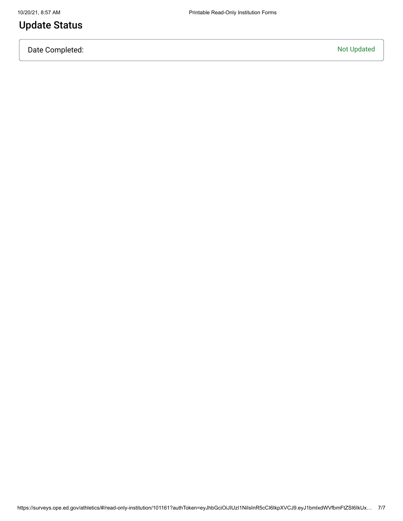### Update Status

Date Completed: Not Updated: Not Updated: Not Updated: Not Updated: Not Updated: Not Updated: Not Updated: Not Updated: Not Updated: Not Updated: Not Updated: Not Updated: Not Updated: Not Updated: Not Updated: Not Updated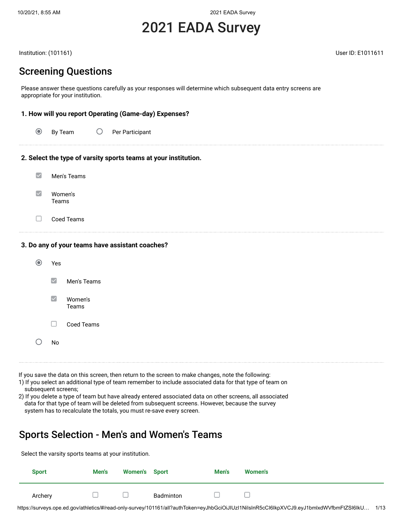# 2021 EADA Survey

Institution: (101161) User ID: E1011611

Screening Questions

Please answer these questions carefully as your responses will determine which subsequent data entry screens are appropriate for your institution.

#### **1. How will you report Operating (Game-day) Expenses?**

| $\odot$ | By Team |  | Per Participant |
|---------|---------|--|-----------------|
|---------|---------|--|-----------------|

#### **2. Select the type of varsity sports teams at your institution.**

| Men's Teams      |
|------------------|
| Women's<br>Teams |

 $\Box$ Coed Teams

#### **3. Do any of your teams have assistant coaches?**

| $\odot$ | Yes                    |                  |
|---------|------------------------|------------------|
|         | $\blacktriangledown$   | Men's Teams      |
|         | $\vert\checkmark\vert$ | Women's<br>Teams |
|         |                        | Coed Teams       |
|         | No                     |                  |
|         |                        |                  |

If you save the data on this screen, then return to the screen to make changes, note the following:

1) If you select an additional type of team remember to include associated data for that type of team on subsequent screens;

2) If you delete a type of team but have already entered associated data on other screens, all associated data for that type of team will be deleted from subsequent screens. However, because the survey system has to recalculate the totals, you must re-save every screen.

### Sports Selection - Men's and Women's Teams

Select the varsity sports teams at your institution. **Sport Men's Women's Sport Men's Women's** Archery  $\square$  Badminton  $\Box$  $\Box$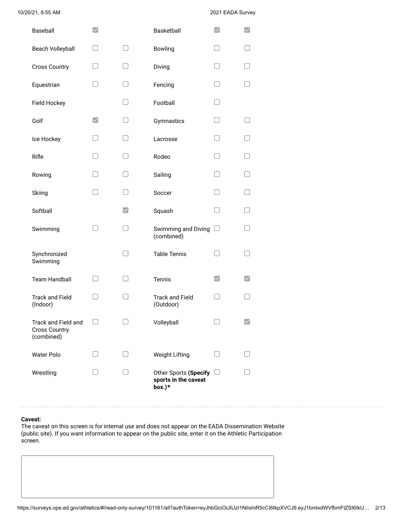| Baseball                                                  | $\checkmark$         |                        | Basketball                                              |              |  |
|-----------------------------------------------------------|----------------------|------------------------|---------------------------------------------------------|--------------|--|
| <b>Beach Volleyball</b>                                   |                      | п                      | <b>Bowling</b>                                          |              |  |
| <b>Cross Country</b>                                      |                      |                        | Diving                                                  |              |  |
| Equestrian                                                |                      |                        | Fencing                                                 |              |  |
| Field Hockey                                              |                      |                        | Football                                                |              |  |
| Golf                                                      | $\blacktriangledown$ |                        | Gymnastics                                              |              |  |
| Ice Hockey                                                |                      |                        | Lacrosse                                                |              |  |
| Rifle                                                     |                      |                        | Rodeo                                                   |              |  |
| Rowing                                                    |                      |                        | Sailing                                                 |              |  |
| Skiing                                                    |                      |                        | Soccer                                                  |              |  |
| Softball                                                  |                      | $\vert\downarrow\vert$ | Squash                                                  |              |  |
| Swimming                                                  |                      |                        | Swimming and Diving<br>(combined)                       |              |  |
| Synchronized<br>Swimming                                  |                      |                        | <b>Table Tennis</b>                                     |              |  |
| <b>Team Handball</b>                                      |                      |                        | Tennis                                                  | $\checkmark$ |  |
| <b>Track and Field</b><br>(Indoor)                        |                      |                        | <b>Track and Field</b><br>(Outdoor)                     |              |  |
| Track and Field and<br><b>Cross Country</b><br>(combined) |                      |                        | Volleyball                                              |              |  |
| Water Polo                                                |                      |                        | Weight Lifting                                          |              |  |
| Wrestling                                                 |                      |                        | Other Sports (Specify<br>sports in the caveat<br>box.)* |              |  |

#### **Caveat:**

The caveat on this screen is for internal use and does not appear on the EADA Dissemination Website (public site). If you want information to appear on the public site, enter it on the Athletic Participation screen.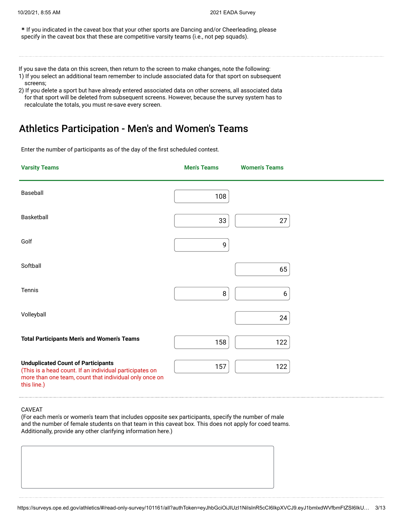**\*** If you indicated in the caveat box that your other sports are Dancing and/or Cheerleading, please specify in the caveat box that these are competitive varsity teams (i.e., not pep squads).

If you save the data on this screen, then return to the screen to make changes, note the following:

- 1) If you select an additional team remember to include associated data for that sport on subsequent screens;
- 2) If you delete a sport but have already entered associated data on other screens, all associated data for that sport will be deleted from subsequent screens. However, because the survey system has to recalculate the totals, you must re-save every screen.

### Athletics Participation - Men's and Women's Teams

Enter the number of participants as of the day of the first scheduled contest.

| <b>Varsity Teams</b>                                                                                                                                                          | <b>Men's Teams</b> | <b>Women's Teams</b> |  |
|-------------------------------------------------------------------------------------------------------------------------------------------------------------------------------|--------------------|----------------------|--|
| Baseball                                                                                                                                                                      | 108                |                      |  |
| Basketball                                                                                                                                                                    | 33                 | 27                   |  |
| Golf                                                                                                                                                                          | 9                  |                      |  |
| Softball                                                                                                                                                                      |                    | 65                   |  |
| Tennis                                                                                                                                                                        | $\,8\,$            | 6                    |  |
| Volleyball                                                                                                                                                                    |                    | 24                   |  |
| <b>Total Participants Men's and Women's Teams</b>                                                                                                                             | 158                | 122                  |  |
| <b>Unduplicated Count of Participants</b><br>(This is a head count. If an individual participates on<br>more than one team, count that individual only once on<br>this line.) | 157                | 122                  |  |

#### CAVEAT

(For each men's or women's team that includes opposite sex participants, specify the number of male and the number of female students on that team in this caveat box. This does not apply for coed teams. Additionally, provide any other clarifying information here.)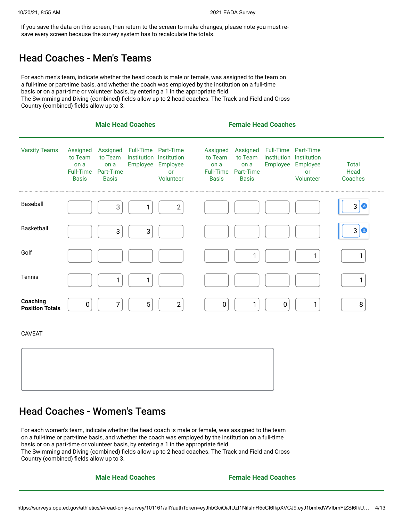If you save the data on this screen, then return to the screen to make changes, please note you must resave every screen because the survey system has to recalculate the totals.

### Head Coaches - Men's Teams

For each men's team, indicate whether the head coach is male or female, was assigned to the team on a full-time or part-time basis, and whether the coach was employed by the institution on a full-time basis or on a part-time or volunteer basis, by entering a 1 in the appropriate field.

The Swimming and Diving (combined) fields allow up to 2 head coaches. The Track and Field and Cross Country (combined) fields allow up to 3.

|                                    | <b>Male Head Coaches</b>                                        |                                                          |                                                            |                                    | <b>Female Head Coaches</b>                                      |                                                          |                                                            |                                    |                                   |
|------------------------------------|-----------------------------------------------------------------|----------------------------------------------------------|------------------------------------------------------------|------------------------------------|-----------------------------------------------------------------|----------------------------------------------------------|------------------------------------------------------------|------------------------------------|-----------------------------------|
| <b>Varsity Teams</b>               | Assigned<br>to Team<br>on a<br><b>Full-Time</b><br><b>Basis</b> | Assigned<br>to Team<br>on a<br>Part-Time<br><b>Basis</b> | Full-Time Part-Time<br>Institution Institution<br>Employee | Employee<br><b>or</b><br>Volunteer | Assigned<br>to Team<br>on a<br><b>Full-Time</b><br><b>Basis</b> | Assigned<br>to Team<br>on a<br>Part-Time<br><b>Basis</b> | Full-Time Part-Time<br>Institution Institution<br>Employee | Employee<br><b>or</b><br>Volunteer | <b>Total</b><br>Head<br>Coaches   |
| Baseball                           |                                                                 | 3                                                        |                                                            | $\overline{2}$                     |                                                                 |                                                          |                                                            |                                    | 3<br>$\left( \frac{2}{2} \right)$ |
| Basketball                         |                                                                 | 3                                                        | $\sqrt{3}$                                                 |                                    |                                                                 |                                                          |                                                            |                                    | 3<br>$\left( \frac{3}{2} \right)$ |
| Golf                               |                                                                 |                                                          |                                                            |                                    |                                                                 | 1                                                        |                                                            | $\mathbf{1}$                       | 1                                 |
| <b>Tennis</b>                      |                                                                 | 1                                                        | 1                                                          |                                    |                                                                 |                                                          |                                                            |                                    | 1                                 |
| Coaching<br><b>Position Totals</b> | $\mathbf 0$                                                     | 7                                                        | 5                                                          | $\mathbf{2}$                       | $\mathbf 0$                                                     | 1                                                        | $\mathbf 0$                                                | 1                                  | 8                                 |
| <b>CAVEAT</b>                      |                                                                 |                                                          |                                                            |                                    |                                                                 |                                                          |                                                            |                                    |                                   |

| <b>Head Coaches - Women's Teams</b> |
|-------------------------------------|
|                                     |

For each women's team, indicate whether the head coach is male or female, was assigned to the team on a full-time or part-time basis, and whether the coach was employed by the institution on a full-time basis or on a part-time or volunteer basis, by entering a 1 in the appropriate field. The Swimming and Diving (combined) fields allow up to 2 head coaches. The Track and Field and Cross Country (combined) fields allow up to 3.

**Male Head Coaches Female Head Coaches**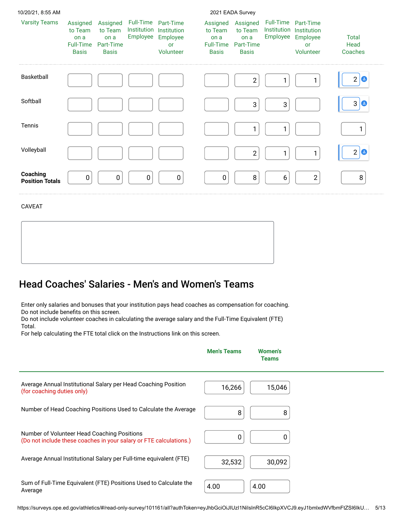| 10/20/21, 8:55 AM                  |                                                                 |                                                          |                                      |                                                         |                                                                 | 2021 EADA Survey                                         |                                             |                                                         |                                                        |
|------------------------------------|-----------------------------------------------------------------|----------------------------------------------------------|--------------------------------------|---------------------------------------------------------|-----------------------------------------------------------------|----------------------------------------------------------|---------------------------------------------|---------------------------------------------------------|--------------------------------------------------------|
| <b>Varsity Teams</b>               | Assigned<br>to Team<br>on a<br><b>Full-Time</b><br><b>Basis</b> | Assigned<br>to Team<br>on a<br>Part-Time<br><b>Basis</b> | Full-Time<br>Institution<br>Employee | Part-Time<br>Institution<br>Employee<br>or<br>Volunteer | Assigned<br>to Team<br>on a<br><b>Full-Time</b><br><b>Basis</b> | Assigned<br>to Team<br>on a<br>Part-Time<br><b>Basis</b> | <b>Full-Time</b><br>Institution<br>Employee | Part-Time<br>Institution<br>Employee<br>or<br>Volunteer | <b>Total</b><br>Head<br>Coaches                        |
| <b>Basketball</b>                  |                                                                 |                                                          |                                      |                                                         |                                                                 | $\overline{\mathbf{c}}$                                  |                                             |                                                         | $\overline{2}$<br>$\bullet$                            |
| Softball                           |                                                                 |                                                          |                                      |                                                         |                                                                 | 3                                                        | 3                                           |                                                         | $\mathbf{3}$<br>$\left( \underline{\mathbf{B}}\right)$ |
| <b>Tennis</b>                      |                                                                 |                                                          |                                      |                                                         |                                                                 | 1                                                        |                                             |                                                         |                                                        |
| Volleyball                         |                                                                 |                                                          |                                      |                                                         |                                                                 | $\mathbf{2}$                                             | 1                                           |                                                         | $\overline{2}$<br>$\bullet$                            |
| Coaching<br><b>Position Totals</b> | 0                                                               | 0                                                        | $\pmb{0}$                            | $\mathbf 0$                                             | $\mathbf 0$                                                     | 8                                                        | $\boldsymbol{6}$                            | $\overline{2}$                                          | 8                                                      |

#### CAVEAT

### Head Coaches' Salaries - Men's and Women's Teams

Enter only salaries and bonuses that your institution pays head coaches as compensation for coaching. Do not include benefits on this screen.

Do not include volunteer coaches in calculating the average salary and the Full-Time Equivalent (FTE) Total.

For help calculating the FTE total click on the Instructions link on this screen.

|                                                                                                                   | <b>Men's Teams</b> | <b>Women's</b><br><b>Teams</b> |  |
|-------------------------------------------------------------------------------------------------------------------|--------------------|--------------------------------|--|
| Average Annual Institutional Salary per Head Coaching Position<br>(for coaching duties only)                      | 16,266             | 15,046                         |  |
| Number of Head Coaching Positions Used to Calculate the Average                                                   | 8                  | 8                              |  |
| Number of Volunteer Head Coaching Positions<br>(Do not include these coaches in your salary or FTE calculations.) |                    | O                              |  |
| Average Annual Institutional Salary per Full-time equivalent (FTE)                                                | 32,532             | 30,092                         |  |
| Sum of Full-Time Equivalent (FTE) Positions Used to Calculate the<br>Average                                      | 4.00               | 4.00                           |  |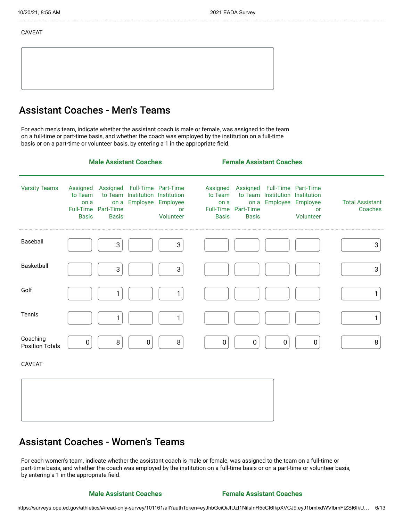#### CAVEAT

### Assistant Coaches - Men's Teams

For each men's team, indicate whether the assistant coach is male or female, was assigned to the team on a full-time or part-time basis, and whether the coach was employed by the institution on a full-time basis or on a part-time or volunteer basis, by entering a 1 in the appropriate field.

|                                    | <b>Male Assistant Coaches</b>                                   |                                   |                                                                                      |                 | <b>Female Assistant Coaches</b>                          |                                   |                                                                 |                                      |                                   |
|------------------------------------|-----------------------------------------------------------------|-----------------------------------|--------------------------------------------------------------------------------------|-----------------|----------------------------------------------------------|-----------------------------------|-----------------------------------------------------------------|--------------------------------------|-----------------------------------|
| <b>Varsity Teams</b>               | Assigned<br>to Team<br>on a<br><b>Full-Time</b><br><b>Basis</b> | on a<br>Part-Time<br><b>Basis</b> | Assigned Full-Time Part-Time<br>to Team Institution Institution<br>Employee Employee | or<br>Volunteer | Assigned<br>to Team<br>on a<br>Full-Time<br><b>Basis</b> | on a<br>Part-Time<br><b>Basis</b> | Assigned Full-Time Part-Time<br>to Team Institution Institution | Employee Employee<br>or<br>Volunteer | <b>Total Assistant</b><br>Coaches |
| Baseball                           |                                                                 | $\sqrt{3}$                        |                                                                                      | 3               |                                                          |                                   |                                                                 |                                      | 3                                 |
| Basketball                         |                                                                 | $\mathbf{3}$                      |                                                                                      | 3               |                                                          |                                   |                                                                 |                                      | $\mathbf{3}$                      |
| Golf                               |                                                                 | 1                                 |                                                                                      | 1               |                                                          |                                   |                                                                 |                                      | 1                                 |
| Tennis                             |                                                                 | 1                                 |                                                                                      | 1               |                                                          |                                   |                                                                 |                                      | 1                                 |
| Coaching<br><b>Position Totals</b> | $\pmb{0}$                                                       | $\, 8$                            | $\pmb{0}$                                                                            | $\, 8$          | $\pmb{0}$                                                | $\pmb{0}$                         | $\pmb{0}$                                                       | $\pmb{0}$                            | 8                                 |
| <b>CAVEAT</b>                      |                                                                 |                                   |                                                                                      |                 |                                                          |                                   |                                                                 |                                      |                                   |
|                                    |                                                                 |                                   |                                                                                      |                 |                                                          |                                   |                                                                 |                                      |                                   |

#### Assistant Coaches - Women's Teams

For each women's team, indicate whether the assistant coach is male or female, was assigned to the team on a full-time or part-time basis, and whether the coach was employed by the institution on a full-time basis or on a part-time or volunteer basis, by entering a 1 in the appropriate field.

#### **Male Assistant Coaches Female Assistant Coaches**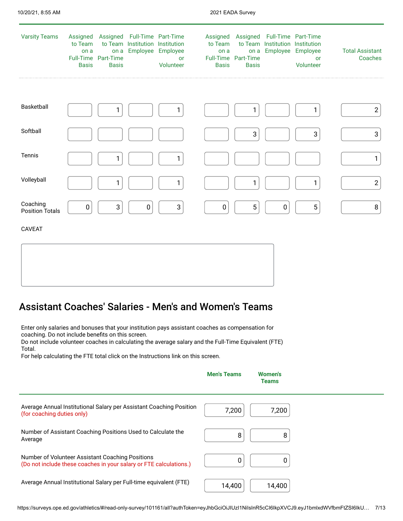| <b>Varsity Teams</b>               | Assigned<br>to Team<br>on a<br><b>Basis</b> | on a<br>Full-Time Part-Time<br><b>Basis</b> | Assigned Full-Time Part-Time<br>to Team Institution Institution | Employee Employee<br><b>or</b><br>Volunteer | to Team<br>on a<br><b>Basis</b> | Assigned Assigned Full-Time Part-Time<br>on a<br>Full-Time Part-Time<br><b>Basis</b> | to Team Institution Institution | Employee Employee<br><b>or</b><br>Volunteer | <b>Total Assistant</b><br>Coaches |
|------------------------------------|---------------------------------------------|---------------------------------------------|-----------------------------------------------------------------|---------------------------------------------|---------------------------------|--------------------------------------------------------------------------------------|---------------------------------|---------------------------------------------|-----------------------------------|
|                                    |                                             |                                             |                                                                 |                                             |                                 |                                                                                      |                                 |                                             |                                   |
| Basketball                         |                                             |                                             |                                                                 |                                             |                                 |                                                                                      |                                 |                                             | $\boldsymbol{2}$                  |
| Softball                           |                                             |                                             |                                                                 |                                             |                                 | 3                                                                                    |                                 | $\sqrt{3}$                                  | $\sqrt{3}$                        |
| Tennis                             |                                             | 1                                           |                                                                 | 1                                           |                                 |                                                                                      |                                 |                                             | $\mathbf{1}$                      |
| Volleyball                         |                                             | 1                                           |                                                                 | 1                                           |                                 | 1                                                                                    |                                 |                                             | $\overline{2}$                    |
| Coaching<br><b>Position Totals</b> | 0                                           | 3                                           | 0                                                               | $\sqrt{3}$                                  | 0                               | $\sqrt{5}$                                                                           | 0                               | $\overline{5}$                              | $\, 8$                            |
| <b>CAVEAT</b>                      |                                             |                                             |                                                                 |                                             |                                 |                                                                                      |                                 |                                             |                                   |
|                                    |                                             |                                             |                                                                 |                                             |                                 |                                                                                      |                                 |                                             |                                   |

### Assistant Coaches' Salaries - Men's and Women's Teams

Enter only salaries and bonuses that your institution pays assistant coaches as compensation for coaching. Do not include benefits on this screen.

Do not include volunteer coaches in calculating the average salary and the Full-Time Equivalent (FTE) Total.

For help calculating the FTE total click on the Instructions link on this screen.

|                                                                                                                        | <b>Men's Teams</b> | <b>Women's</b><br>Teams |  |
|------------------------------------------------------------------------------------------------------------------------|--------------------|-------------------------|--|
| Average Annual Institutional Salary per Assistant Coaching Position<br>(for coaching duties only)                      | 7,200              | 7,200                   |  |
| Number of Assistant Coaching Positions Used to Calculate the<br>Average                                                | 8                  | 8                       |  |
| Number of Volunteer Assistant Coaching Positions<br>(Do not include these coaches in your salary or FTE calculations.) |                    | 0                       |  |
| Average Annual Institutional Salary per Full-time equivalent (FTE)                                                     | 14,400             | 14,400                  |  |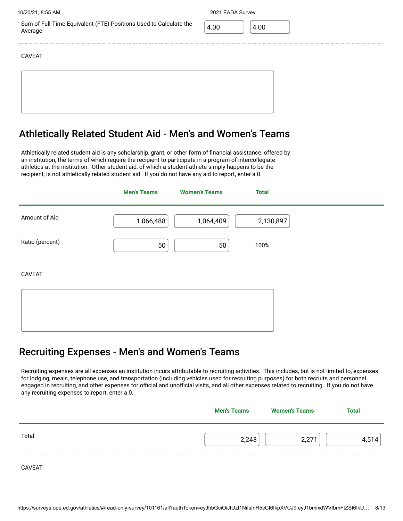Sum of Full-Time Equivalent (FTE) Positions Used to Calculate the Average

10/20/21, 8:55 AM 2021 EADA Survey

4.00 4.00

CAVEAT

### Athletically Related Student Aid - Men's and Women's Teams

Athletically related student aid is any scholarship, grant, or other form of financial assistance, offered by an institution, the terms of which require the recipient to participate in a program of intercollegiate athletics at the institution. Other student aid, of which a student-athlete simply happens to be the recipient, is not athletically related student aid. If you do not have any aid to report, enter a 0.

|                 | <b>Men's Teams</b> | <b>Women's Teams</b> | <b>Total</b> |  |
|-----------------|--------------------|----------------------|--------------|--|
| Amount of Aid   | 1,066,488          | 1,064,409            | 2,130,897    |  |
| Ratio (percent) | 50                 | 50                   | 100%         |  |
| CAVEAT          |                    |                      |              |  |
|                 |                    |                      |              |  |

#### Recruiting Expenses - Men's and Women's Teams

Recruiting expenses are all expenses an institution incurs attributable to recruiting activities. This includes, but is not limited to, expenses for lodging, meals, telephone use, and transportation (including vehicles used for recruiting purposes) for both recruits and personnel engaged in recruiting, and other expenses for official and unofficial visits, and all other expenses related to recruiting. If you do not have any recruiting expenses to report, enter a 0.

|               | <b>Men's Teams</b> | <b>Women's Teams</b> | Total |
|---------------|--------------------|----------------------|-------|
| Total         | 2,243              | 2,271                | 514   |
| <b>CAVEAT</b> |                    |                      |       |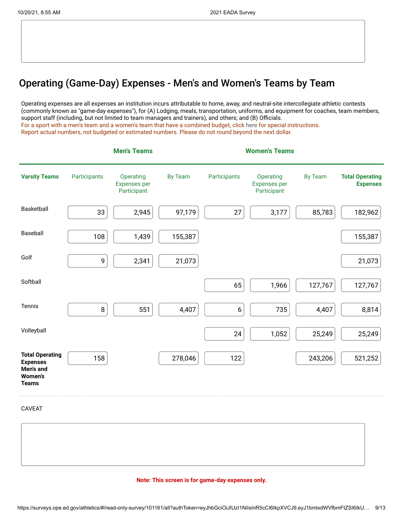### Operating (Game-Day) Expenses - Men's and Women's Teams by Team

Operating expenses are all expenses an institution incurs attributable to home, away, and neutral-site intercollegiate athletic contests (commonly known as "game-day expenses"), for (A) Lodging, meals, transportation, uniforms, and equipment for coaches, team members, support staff (including, but not limited to team managers and trainers), and others; and (B) Officials. For a sport with a men's team and a women's team that have a combined budget, click [here](https://surveys.ope.ed.gov/athletics2k21/wwwroot/documents/inst_1.pdf) for special instructions. Report actual numbers, not budgeted or estimated numbers. Please do not round beyond the next dollar.

|                                                                                          |              | <b>Men's Teams</b>                              |                |                  | <b>Women's Teams</b>                            |                |                                           |
|------------------------------------------------------------------------------------------|--------------|-------------------------------------------------|----------------|------------------|-------------------------------------------------|----------------|-------------------------------------------|
| <b>Varsity Teams</b>                                                                     | Participants | Operating<br><b>Expenses per</b><br>Participant | <b>By Team</b> | Participants     | Operating<br><b>Expenses per</b><br>Participant | <b>By Team</b> | <b>Total Operating</b><br><b>Expenses</b> |
| Basketball                                                                               | 33           | 2,945                                           | 97,179         | 27               | 3,177                                           | 85,783         | 182,962                                   |
| Baseball                                                                                 | 108          | 1,439                                           | 155,387        |                  |                                                 |                | 155,387                                   |
| Golf                                                                                     | 9            | 2,341                                           | 21,073         |                  |                                                 |                | 21,073                                    |
| Softball                                                                                 |              |                                                 |                | 65               | 1,966                                           | 127,767        | 127,767                                   |
| Tennis                                                                                   | $\, 8$       | 551                                             | 4,407          | $\boldsymbol{6}$ | 735                                             | 4,407          | 8,814                                     |
| Volleyball                                                                               |              |                                                 |                | 24               | 1,052                                           | 25,249         | 25,249                                    |
| <b>Total Operating</b><br><b>Expenses</b><br>Men's and<br><b>Women's</b><br><b>Teams</b> | 158          |                                                 | 278,046        | 122              |                                                 | 243,206        | 521,252                                   |

CAVEAT

#### **Note: This screen is for game-day expenses only.**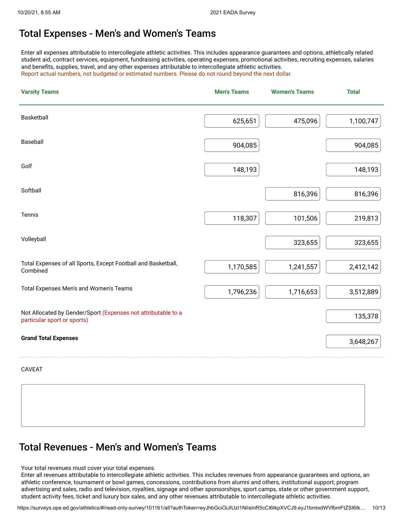### Total Expenses - Men's and Women's Teams

Enter all expenses attributable to intercollegiate athletic activities. This includes appearance guarantees and options, athletically related student aid, contract services, equipment, fundraising activities, operating expenses, promotional activities, recruiting expenses, salaries and benefits, supplies, travel, and any other expenses attributable to intercollegiate athletic activities. Report actual numbers, not budgeted or estimated numbers. Please do not round beyond the next dollar.

| <b>Varsity Teams</b>                                                                         | <b>Men's Teams</b> | <b>Women's Teams</b> | <b>Total</b> |
|----------------------------------------------------------------------------------------------|--------------------|----------------------|--------------|
| Basketball                                                                                   | 625,651            | 475,096              | 1,100,747    |
| Baseball                                                                                     | 904,085            |                      | 904,085      |
| Golf                                                                                         | 148,193            |                      | 148,193      |
| Softball                                                                                     |                    | 816,396              | 816,396      |
| Tennis                                                                                       | 118,307            | 101,506              | 219,813      |
| Volleyball                                                                                   |                    | 323,655              | 323,655      |
| Total Expenses of all Sports, Except Football and Basketball,<br>Combined                    | 1,170,585          | 1,241,557            | 2,412,142    |
| Total Expenses Men's and Women's Teams                                                       | 1,796,236          | 1,716,653            | 3,512,889    |
| Not Allocated by Gender/Sport (Expenses not attributable to a<br>particular sport or sports) |                    |                      | 135,378      |
| <b>Grand Total Expenses</b>                                                                  |                    |                      | 3,648,267    |
| <b>CAVEAT</b>                                                                                |                    |                      |              |

### Total Revenues - Men's and Women's Teams

Your total revenues must cover your total expenses.

Enter all revenues attributable to intercollegiate athletic activities. This includes revenues from appearance guarantees and options, an athletic conference, tournament or bowl games, concessions, contributions from alumni and others, institutional support, program advertising and sales, radio and television, royalties, signage and other sponsorships, sport camps, state or other government support, student activity fees, ticket and luxury box sales, and any other revenues attributable to intercollegiate athletic activities.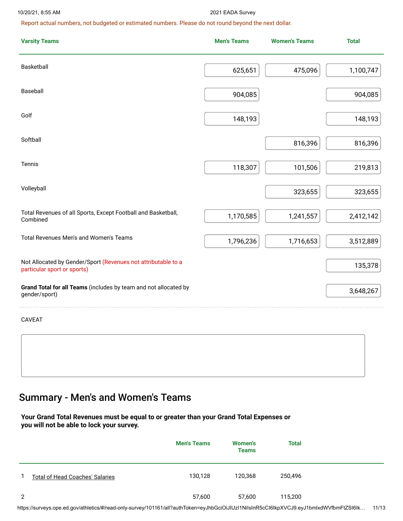#### 10/20/21, 8:55 AM 2021 EADA Survey

Report actual numbers, not budgeted or estimated numbers. Please do not round beyond the next dollar.

| <b>Varsity Teams</b>                                                                         | <b>Men's Teams</b> | <b>Women's Teams</b> | <b>Total</b> |
|----------------------------------------------------------------------------------------------|--------------------|----------------------|--------------|
| Basketball                                                                                   | 625,651            | 475,096              | 1,100,747    |
| Baseball                                                                                     | 904,085            |                      | 904,085      |
| Golf                                                                                         | 148,193            |                      | 148,193      |
| Softball                                                                                     |                    | 816,396              | 816,396      |
| Tennis                                                                                       | 118,307            | 101,506              | 219,813      |
| Volleyball                                                                                   |                    | 323,655              | 323,655      |
| Total Revenues of all Sports, Except Football and Basketball,<br>Combined                    | 1,170,585          | 1,241,557            | 2,412,142    |
| Total Revenues Men's and Women's Teams                                                       | 1,796,236          | 1,716,653            | 3,512,889    |
| Not Allocated by Gender/Sport (Revenues not attributable to a<br>particular sport or sports) |                    |                      | 135,378      |
| Grand Total for all Teams (includes by team and not allocated by<br>gender/sport)            |                    |                      | 3,648,267    |

CAVEAT

# Summary - Men's and Women's Teams

**Your Grand Total Revenues must be equal to or greater than your Grand Total Expenses or you will not be able to lock your survey.**

|   |                                        | <b>Men's Teams</b> | <b>Women's</b><br><b>Teams</b> | <b>Total</b> |  |
|---|----------------------------------------|--------------------|--------------------------------|--------------|--|
| 1 | <b>Total of Head Coaches' Salaries</b> | 130,128            | 120,368                        | 250,496      |  |
| 2 |                                        | 57,600             | 57,600                         | 115,200      |  |

https://surveys.ope.ed.gov/athletics/#/read-only-survey/101161/all?authToken=eyJhbGciOiJIUzI1NiIsInR5cCI6IkpXVCJ9.eyJ1bmlxdWVfbmFtZSI6Ik… 11/13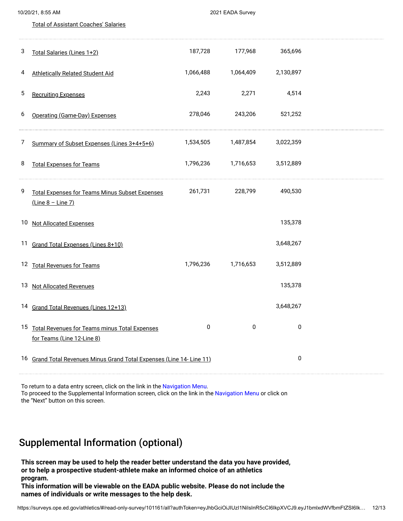| 10/20/21, 8:55 AM |                                                                                   |           | 2021 EADA Survey    |           |  |
|-------------------|-----------------------------------------------------------------------------------|-----------|---------------------|-----------|--|
|                   | <b>Total of Assistant Coaches' Salaries</b>                                       |           |                     |           |  |
| 3                 | Total Salaries (Lines 1+2)                                                        | 187,728   | 177,968             | 365,696   |  |
| 4                 | <b>Athletically Related Student Aid</b>                                           | 1,066,488 | 1,064,409           | 2,130,897 |  |
| 5                 | <b>Recruiting Expenses</b>                                                        | 2,243     | 2,271               | 4,514     |  |
| 6                 | Operating (Game-Day) Expenses                                                     | 278,046   | 243,206             | 521,252   |  |
| 7                 | Summary of Subset Expenses (Lines 3+4+5+6)                                        | 1,534,505 | 1,487,854           | 3,022,359 |  |
| 8                 | <b>Total Expenses for Teams</b>                                                   |           | 1,796,236 1,716,653 | 3,512,889 |  |
| 9                 | <b>Total Expenses for Teams Minus Subset Expenses</b><br><u>(Line 8 - Line 7)</u> | 261,731   | 228,799             | 490,530   |  |
| 10 <sub>2</sub>   | <b>Not Allocated Expenses</b>                                                     |           |                     | 135,378   |  |
|                   | 11 Grand Total Expenses (Lines 8+10)                                              |           |                     | 3,648,267 |  |
|                   | 12 Total Revenues for Teams                                                       | 1,796,236 | 1,716,653           | 3,512,889 |  |
| 13                | <b>Not Allocated Revenues</b>                                                     |           |                     | 135,378   |  |
| 14                | Grand Total Revenues (Lines 12+13)                                                |           |                     | 3,648,267 |  |
|                   | 15 Total Revenues for Teams minus Total Expenses<br>for Teams (Line 12-Line 8)    | 0         | 0                   | $\pmb{0}$ |  |
|                   | 16 Grand Total Revenues Minus Grand Total Expenses (Line 14- Line 11)             |           |                     | $\pmb{0}$ |  |

To return to a data entry screen, click on the link in the Navigation Menu. To proceed to the Supplemental Information screen, click on the link in the Navigation Menu or click on the "Next" button on this screen.

### Supplemental Information (optional)

**This screen may be used to help the reader better understand the data you have provided, or to help a prospective student-athlete make an informed choice of an athletics program.**

**This information will be viewable on the EADA public website. Please do not include the names of individuals or write messages to the help desk.**